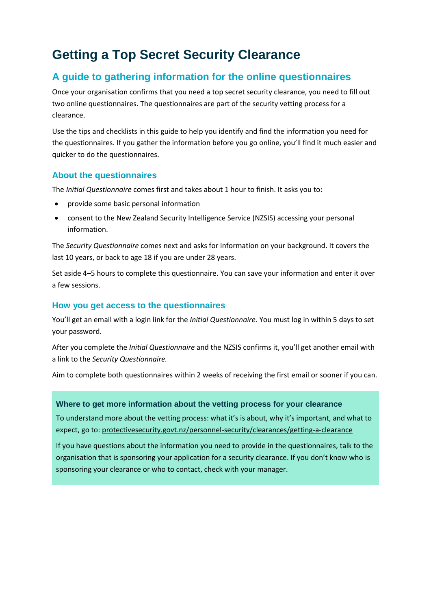### **Getting a Top Secret Security Clearance**

### **A guide to gathering information for the online questionnaires**

Once your organisation confirms that you need a top secret security clearance, you need to fill out two online questionnaires. The questionnaires are part of the security vetting process for a clearance.

Use the tips and checklists in this guide to help you identify and find the information you need for the questionnaires. If you gather the information before you go online, you'll find it much easier and quicker to do the questionnaires.

#### **About the questionnaires**

The *Initial Questionnaire* comes first and takes about 1 hour to finish. It asks you to:

- provide some basic personal information
- consent to the New Zealand Security Intelligence Service (NZSIS) accessing your personal information.

The *Security Questionnaire* comes next and asks for information on your background. It covers the last 10 years, or back to age 18 if you are under 28 years.

Set aside 4–5 hours to complete this questionnaire. You can save your information and enter it over a few sessions.

#### **How you get access to the questionnaires**

You'll get an email with a login link for the *Initial Questionnaire.* You must log in within 5 days to set your password.

After you complete the *Initial Questionnaire* and the NZSIS confirms it, you'll get another email with a link to the *Security Questionnaire.*

Aim to complete both questionnaires within 2 weeks of receiving the first email or sooner if you can.

#### **Where to get more information about the vetting process for your clearance**

To understand more about the vetting process: what it's is about, why it's important, and what to expect, go to: [protectivesecurity.govt.nz/personnel-security/clearances/getting-a-clearance](http://www.protectivesecurity.govt.nz/personnel-security/clearances/getting-a-clearance/)

If you have questions about the information you need to provide in the questionnaires, talk to the organisation that is sponsoring your application for a security clearance. If you don't know who is sponsoring your clearance or who to contact, check with your manager.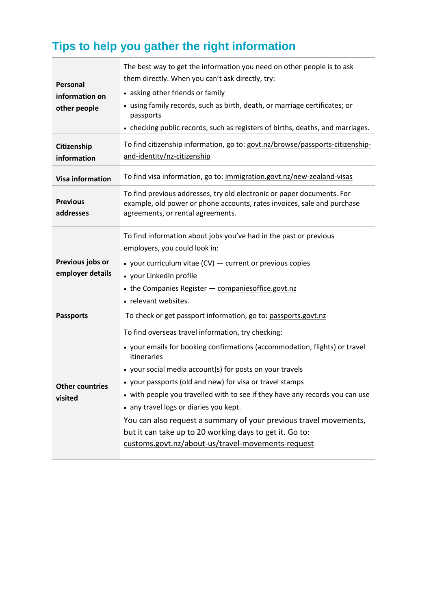# **Tips to help you gather the right information**

| Personal<br>information on<br>other people | The best way to get the information you need on other people is to ask<br>them directly. When you can't ask directly, try:<br>• asking other friends or family<br>• using family records, such as birth, death, or marriage certificates; or<br>passports<br>• checking public records, such as registers of births, deaths, and marriages.                                                                                                                                                                                                                                            |
|--------------------------------------------|----------------------------------------------------------------------------------------------------------------------------------------------------------------------------------------------------------------------------------------------------------------------------------------------------------------------------------------------------------------------------------------------------------------------------------------------------------------------------------------------------------------------------------------------------------------------------------------|
| Citizenship<br>information                 | To find citizenship information, go to: govt.nz/browse/passports-citizenship-<br>and-identity/nz-citizenship                                                                                                                                                                                                                                                                                                                                                                                                                                                                           |
| <b>Visa information</b>                    | To find visa information, go to: immigration.govt.nz/new-zealand-visas                                                                                                                                                                                                                                                                                                                                                                                                                                                                                                                 |
| <b>Previous</b><br>addresses               | To find previous addresses, try old electronic or paper documents. For<br>example, old power or phone accounts, rates invoices, sale and purchase<br>agreements, or rental agreements.                                                                                                                                                                                                                                                                                                                                                                                                 |
| Previous jobs or<br>employer details       | To find information about jobs you've had in the past or previous<br>employers, you could look in:<br>• your curriculum vitae $(CV)$ — current or previous copies<br>• your LinkedIn profile<br>• the Companies Register - companies office govt.nz<br>• relevant websites.                                                                                                                                                                                                                                                                                                            |
| <b>Passports</b>                           | To check or get passport information, go to: passports.govt.nz                                                                                                                                                                                                                                                                                                                                                                                                                                                                                                                         |
| Other countries<br>visited                 | To find overseas travel information, try checking:<br>• your emails for booking confirmations (accommodation, flights) or travel<br>itineraries<br>• your social media account(s) for posts on your travels<br>• your passports (old and new) for visa or travel stamps<br>• with people you travelled with to see if they have any records you can use<br>• any travel logs or diaries you kept.<br>You can also request a summary of your previous travel movements,<br>but it can take up to 20 working days to get it. Go to:<br>customs.govt.nz/about-us/travel-movements-request |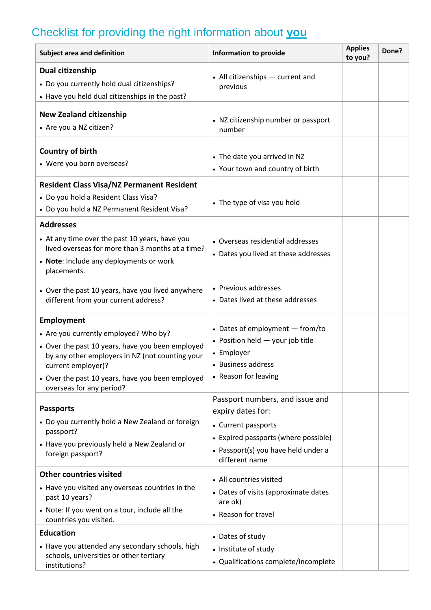# Checklist for providing the right information about **you**

| Subject area and definition                                                                                                                                                      | <b>Information to provide</b>                                            | <b>Applies</b><br>to you? | Done? |
|----------------------------------------------------------------------------------------------------------------------------------------------------------------------------------|--------------------------------------------------------------------------|---------------------------|-------|
| Dual citizenship<br>• Do you currently hold dual citizenships?<br>• Have you held dual citizenships in the past?                                                                 | • All citizenships - current and<br>previous                             |                           |       |
| <b>New Zealand citizenship</b><br>• Are you a NZ citizen?                                                                                                                        | • NZ citizenship number or passport<br>number                            |                           |       |
| <b>Country of birth</b><br>• Were you born overseas?                                                                                                                             | • The date you arrived in NZ<br>• Your town and country of birth         |                           |       |
| <b>Resident Class Visa/NZ Permanent Resident</b><br>• Do you hold a Resident Class Visa?<br>• Do you hold a NZ Permanent Resident Visa?                                          | • The type of visa you hold                                              |                           |       |
| <b>Addresses</b><br>• At any time over the past 10 years, have you<br>lived overseas for more than 3 months at a time?<br>• Note: Include any deployments or work<br>placements. | • Overseas residential addresses<br>• Dates you lived at these addresses |                           |       |
| • Over the past 10 years, have you lived anywhere<br>different from your current address?                                                                                        | • Previous addresses<br>• Dates lived at these addresses                 |                           |       |
| Employment                                                                                                                                                                       |                                                                          |                           |       |
| • Are you currently employed? Who by?                                                                                                                                            | • Dates of employment - from/to                                          |                           |       |
| • Over the past 10 years, have you been employed<br>by any other employers in NZ (not counting your<br>current employer)?                                                        | • Position held - your job title<br>• Employer<br>• Business address     |                           |       |
| • Over the past 10 years, have you been employed<br>overseas for any period?                                                                                                     | • Reason for leaving                                                     |                           |       |
| <b>Passports</b>                                                                                                                                                                 | Passport numbers, and issue and<br>expiry dates for:                     |                           |       |
| • Do you currently hold a New Zealand or foreign                                                                                                                                 | • Current passports                                                      |                           |       |
| passport?                                                                                                                                                                        | • Expired passports (where possible)                                     |                           |       |
| • Have you previously held a New Zealand or<br>foreign passport?                                                                                                                 | • Passport(s) you have held under a<br>different name                    |                           |       |
| <b>Other countries visited</b>                                                                                                                                                   | • All countries visited                                                  |                           |       |
| • Have you visited any overseas countries in the<br>past 10 years?                                                                                                               | • Dates of visits (approximate dates<br>are ok)                          |                           |       |
| • Note: If you went on a tour, include all the<br>countries you visited.                                                                                                         | • Reason for travel                                                      |                           |       |
| <b>Education</b>                                                                                                                                                                 | • Dates of study                                                         |                           |       |
| • Have you attended any secondary schools, high                                                                                                                                  | • Institute of study                                                     |                           |       |
| schools, universities or other tertiary<br>institutions?                                                                                                                         | • Qualifications complete/incomplete                                     |                           |       |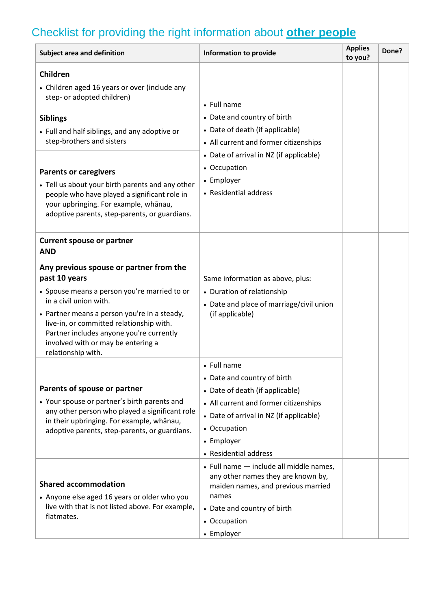# Checklist for providing the right information about **other people**

| <b>Subject area and definition</b>                                                                                                                                                                                                                                                                                                                                 | <b>Information to provide</b>                                                                                                                                                                                            | <b>Applies</b><br>to you? | Done? |
|--------------------------------------------------------------------------------------------------------------------------------------------------------------------------------------------------------------------------------------------------------------------------------------------------------------------------------------------------------------------|--------------------------------------------------------------------------------------------------------------------------------------------------------------------------------------------------------------------------|---------------------------|-------|
| Children<br>• Children aged 16 years or over (include any<br>step- or adopted children)<br><b>Siblings</b><br>• Full and half siblings, and any adoptive or<br>step-brothers and sisters                                                                                                                                                                           | • Full name<br>• Date and country of birth<br>• Date of death (if applicable)<br>• All current and former citizenships                                                                                                   |                           |       |
| <b>Parents or caregivers</b><br>• Tell us about your birth parents and any other<br>people who have played a significant role in<br>your upbringing. For example, whanau,<br>adoptive parents, step-parents, or guardians.                                                                                                                                         | • Date of arrival in NZ (if applicable)<br>• Occupation<br>• Employer<br>• Residential address                                                                                                                           |                           |       |
| <b>Current spouse or partner</b><br><b>AND</b><br>Any previous spouse or partner from the<br>past 10 years<br>• Spouse means a person you're married to or<br>in a civil union with.<br>• Partner means a person you're in a steady,<br>live-in, or committed relationship with.<br>Partner includes anyone you're currently<br>involved with or may be entering a | Same information as above, plus:<br>• Duration of relationship<br>• Date and place of marriage/civil union<br>(if applicable)                                                                                            |                           |       |
| relationship with.<br>Parents of spouse or partner<br>• Your spouse or partner's birth parents and<br>any other person who played a significant role<br>in their upbringing. For example, whānau,<br>adoptive parents, step-parents, or guardians.                                                                                                                 | • Full name<br>• Date and country of birth<br>• Date of death (if applicable)<br>• All current and former citizenships<br>• Date of arrival in NZ (if applicable)<br>• Occupation<br>• Employer<br>• Residential address |                           |       |
| <b>Shared accommodation</b><br>• Anyone else aged 16 years or older who you<br>live with that is not listed above. For example,<br>flatmates.                                                                                                                                                                                                                      | • Full name - include all middle names,<br>any other names they are known by,<br>maiden names, and previous married<br>names<br>• Date and country of birth<br>• Occupation<br>• Employer                                |                           |       |